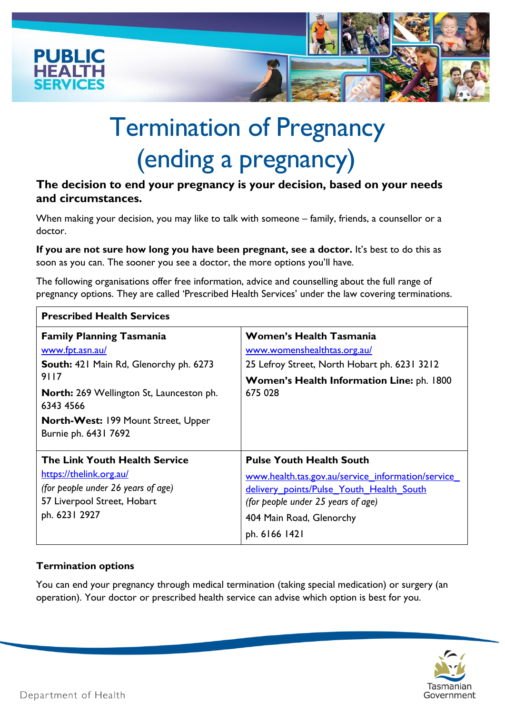

# Termination of Pregnancy (ending a pregnancy)

## **The decision to end your pregnancy is your decision, based on your needs and circumstances.**

When making your decision, you may like to talk with someone – family, friends, a counsellor or a doctor.

**If you are not sure how long you have been pregnant, see a doctor.** It's best to do this as soon as you can. The sooner you see a doctor, the more options you'll have.

The following organisations offer free information, advice and counselling about the full range of pregnancy options. They are called 'Prescribed Health Services' under the law covering terminations.

| <b>Prescribed Health Services</b>                                                                                                              |                                                                                                                                                                                                                     |
|------------------------------------------------------------------------------------------------------------------------------------------------|---------------------------------------------------------------------------------------------------------------------------------------------------------------------------------------------------------------------|
| <b>Family Planning Tasmania</b><br>www.fpt.asn.au/                                                                                             | <b>Women's Health Tasmania</b><br>www.womenshealthtas.org.au/                                                                                                                                                       |
| South: 421 Main Rd, Glenorchy ph. 6273<br>9117                                                                                                 | 25 Lefroy Street, North Hobart ph. 6231 3212<br>Women's Health Information Line: ph. 1800                                                                                                                           |
| <b>North:</b> 269 Wellington St, Launceston ph.<br>6343 4566                                                                                   | 675 028                                                                                                                                                                                                             |
| <b>North-West: 199 Mount Street, Upper</b><br>Burnie ph. 6431 7692                                                                             |                                                                                                                                                                                                                     |
| The Link Youth Health Service<br>https://thelink.org.au/<br>(for people under 26 years of age)<br>57 Liverpool Street, Hobart<br>ph. 6231 2927 | <b>Pulse Youth Health South</b><br>www.health.tas.gov.au/service information/service<br>delivery points/Pulse Youth Health South<br>(for people under 25 years of age)<br>404 Main Road, Glenorchy<br>ph. 6166 1421 |

## **Termination options**

You can end your pregnancy through medical termination (taking special medication) or surgery (an operation). Your doctor or prescribed health service can advise which option is best for you.